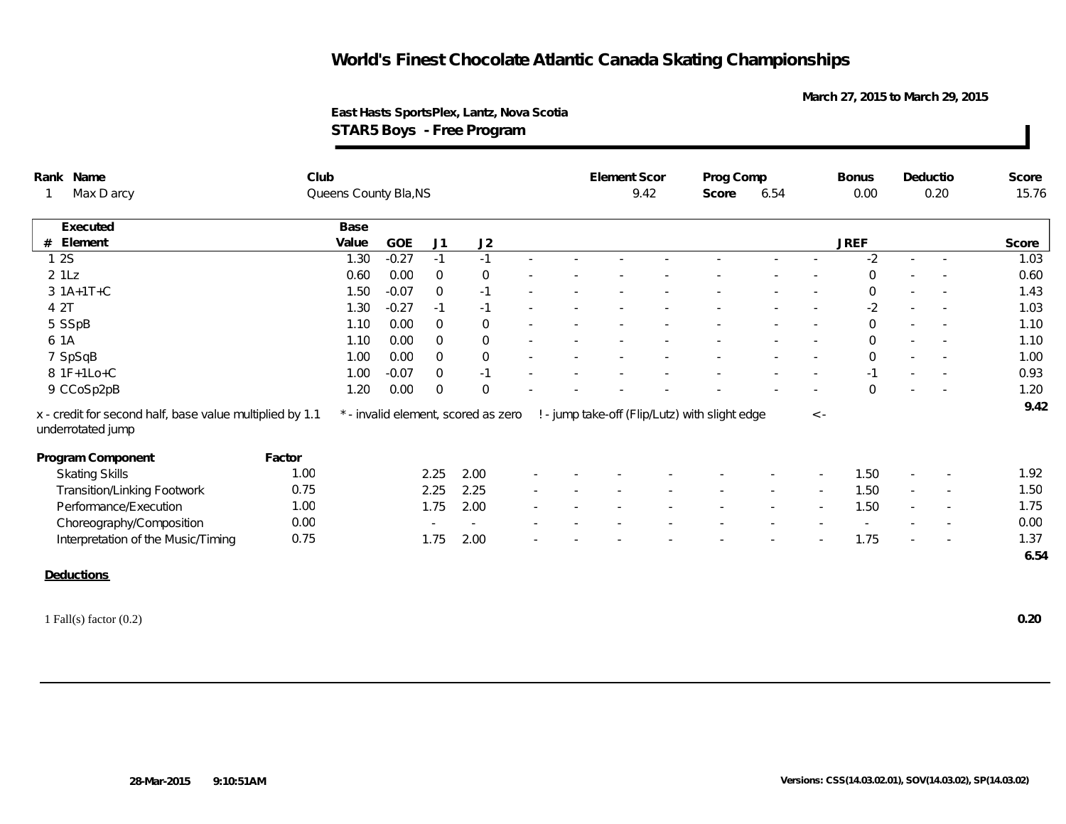**March 27, 2015 to March 29, 2015**

**East Hasts SportsPlex, Lantz, Nova Scotia STAR5 Boys - Free Program**

| Rank Name                                                                     | Club   |                       |         |                |                                     |        | Element Scor |  | Prog Comp                                      |               |             | <b>Bonus</b>   |        | Deductio                 | Score |
|-------------------------------------------------------------------------------|--------|-----------------------|---------|----------------|-------------------------------------|--------|--------------|--|------------------------------------------------|---------------|-------------|----------------|--------|--------------------------|-------|
| Max D arcy<br>$\mathbf{1}$                                                    |        | Queens County Bla, NS |         |                |                                     |        | 9.42         |  |                                                | 6.54<br>Score |             | 0.00           |        | 0.20                     | 15.76 |
| Executed                                                                      |        | Base                  |         |                |                                     |        |              |  |                                                |               |             |                |        |                          |       |
| # Element                                                                     |        | Value                 | GOE     | J <sub>1</sub> | J2                                  |        |              |  |                                                |               |             | <b>JREF</b>    |        |                          | Score |
| 12S                                                                           |        | 1.30                  | $-0.27$ | $-1$           | $-1$                                |        |              |  |                                                |               |             | $-2$           | $\sim$ |                          | 1.03  |
| $2$ $1Lz$                                                                     |        | 0.60                  | 0.00    | $\overline{0}$ | $\overline{0}$                      |        |              |  |                                                |               |             | $\Omega$       |        |                          | 0.60  |
| $3 1A+1T+C$                                                                   |        | 1.50                  | $-0.07$ | $\Omega$       | $-1$                                |        |              |  |                                                |               |             | $\overline{0}$ |        |                          | 1.43  |
| 4 2T                                                                          |        | 1.30                  | $-0.27$ | $-1$           | $-1$                                |        |              |  |                                                |               | $\sim$      | $-2$           | $\sim$ |                          | 1.03  |
| 5 SSpB                                                                        |        | 1.10                  | 0.00    | $\mathbf{0}$   | $\overline{0}$                      |        |              |  |                                                |               |             | $\overline{0}$ |        | $\sim$                   | 1.10  |
| 6 1A                                                                          |        | 1.10                  | 0.00    | $\Omega$       | $\overline{0}$                      |        |              |  |                                                |               |             | $\mathbf 0$    | $\sim$ |                          | 1.10  |
| 7 SpSqB                                                                       |        | 1.00                  | 0.00    | $\overline{0}$ | $\overline{0}$                      |        |              |  |                                                |               |             | $\mathbf{0}$   |        |                          | 1.00  |
| 8 1F+1Lo+C                                                                    |        | 1.00                  | $-0.07$ | $\mathbf{0}$   | $-1$                                |        |              |  |                                                |               |             | $-1$           |        |                          | 0.93  |
| 9 CCoSp2pB                                                                    |        | 1.20                  | 0.00    | $\overline{0}$ | $\Omega$                            |        |              |  |                                                |               |             | $\Omega$       |        |                          | 1.20  |
| x - credit for second half, base value multiplied by 1.1<br>underrotated jump |        |                       |         |                | * - invalid element, scored as zero |        |              |  | ! - jump take-off (Flip/Lutz) with slight edge |               | $\langle$ - |                |        |                          | 9.42  |
| Program Component                                                             | Factor |                       |         |                |                                     |        |              |  |                                                |               |             |                |        |                          |       |
| <b>Skating Skills</b>                                                         | 1.00   |                       |         | 2.25           | 2.00                                |        |              |  |                                                |               |             | 1.50           | $\sim$ | $\overline{\phantom{a}}$ | 1.92  |
| Transition/Linking Footwork                                                   | 0.75   |                       |         | 2.25           | 2.25                                | $\sim$ |              |  |                                                |               |             | 1.50           | $\sim$ | $\sim$                   | 1.50  |
| Performance/Execution                                                         | 1.00   |                       |         | 1.75           | 2.00                                |        |              |  |                                                |               |             | 1.50           | $\sim$ | $\overline{\phantom{a}}$ | 1.75  |
| Choreography/Composition                                                      | 0.00   |                       |         | $\sim$         | $\sim$                              |        |              |  |                                                |               |             |                |        |                          | 0.00  |
| Interpretation of the Music/Timing                                            | 0.75   |                       |         | 1.75           | 2.00                                |        |              |  |                                                |               |             | 1.75           |        | $\overline{\phantom{a}}$ | 1.37  |
|                                                                               |        |                       |         |                |                                     |        |              |  |                                                |               |             |                |        |                          | 6.54  |
| <b>Deductions</b>                                                             |        |                       |         |                |                                     |        |              |  |                                                |               |             |                |        |                          |       |
| 1 Fall(s) factor $(0.2)$                                                      |        |                       |         |                |                                     |        |              |  |                                                |               |             |                |        |                          | 0.20  |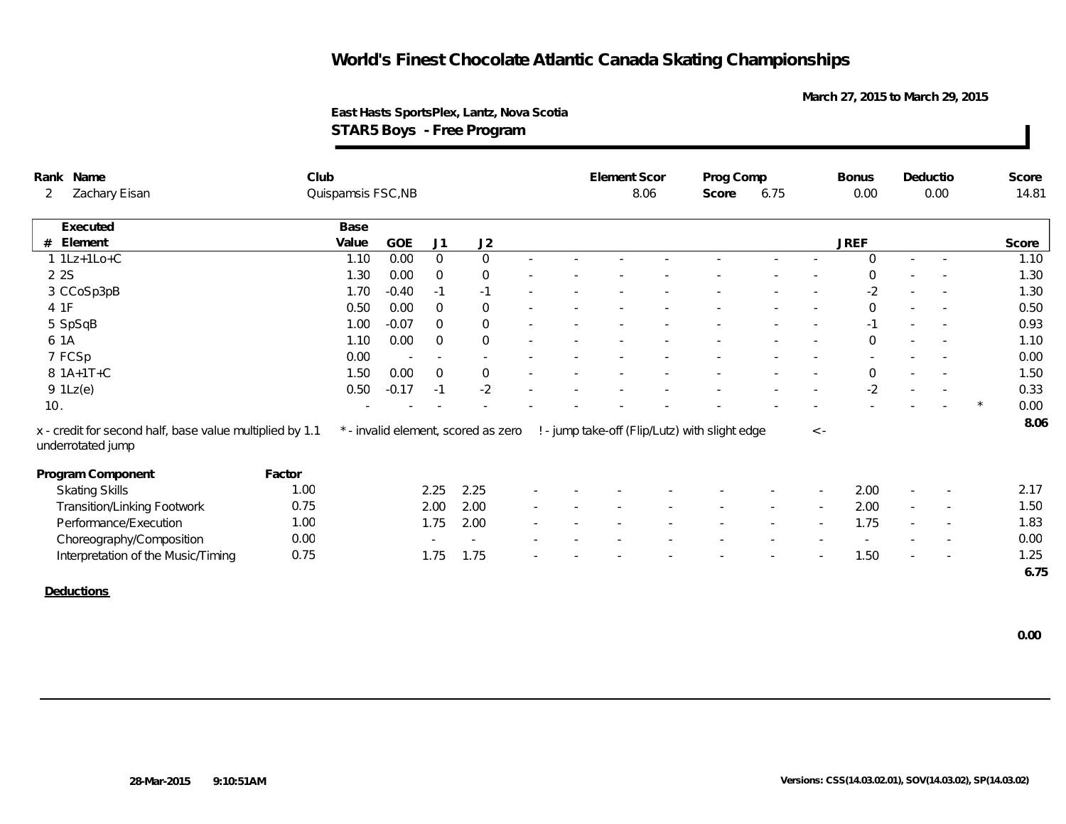**March 27, 2015 to March 29, 2015**

**East Hasts SportsPlex, Lantz, Nova Scotia STAR5 Boys - Free Program**

|                                 | Rank Name                                                                     | Club               |       |         |                          |                                     |                          | Element Scor |      | Prog Comp                                      |      |           | <b>Bonus</b> |                          | Deductio                 | Score |
|---------------------------------|-------------------------------------------------------------------------------|--------------------|-------|---------|--------------------------|-------------------------------------|--------------------------|--------------|------|------------------------------------------------|------|-----------|--------------|--------------------------|--------------------------|-------|
| Zachary Eisan<br>$\overline{2}$ |                                                                               | Quispamsis FSC, NB |       |         |                          |                                     |                          |              | 8.06 | Score                                          | 6.75 |           | 0.00         | 0.00                     |                          | 14.81 |
|                                 | Executed                                                                      |                    | Base  |         |                          |                                     |                          |              |      |                                                |      |           |              |                          |                          |       |
| #                               | Element                                                                       |                    | Value | GOE     | J1                       | J2                                  |                          |              |      |                                                |      |           | <b>JREF</b>  |                          |                          | Score |
|                                 | $1 1Lz+1Lo+C$                                                                 |                    | 1.10  | 0.00    | $\overline{0}$           | $\overline{0}$                      |                          |              |      |                                                |      |           | $\Omega$     | $\sim$                   | $\sim$                   | 1.10  |
|                                 | 2 2 S                                                                         |                    | 1.30  | 0.00    | $\overline{0}$           | $\overline{0}$                      |                          |              |      |                                                |      |           | $\Omega$     |                          |                          | 1.30  |
|                                 | 3 CCoSp3pB                                                                    |                    | 1.70  | $-0.40$ | $-1$                     | $-1$                                |                          |              |      |                                                |      |           | $-2$         |                          |                          | 1.30  |
|                                 | 4 1F                                                                          |                    | 0.50  | 0.00    | $\Omega$                 | $\mathbf 0$                         |                          |              |      |                                                |      |           | $\Omega$     |                          |                          | 0.50  |
|                                 | 5 SpSqB                                                                       |                    | 1.00  | $-0.07$ | $\mathbf 0$              | $\mathbf 0$                         | $\overline{\phantom{a}}$ |              |      |                                                |      |           | $-1$         | $\overline{\phantom{a}}$ | $\sim$                   | 0.93  |
|                                 | 6 1A                                                                          |                    | 1.10  | 0.00    | $\Omega$                 | $\overline{0}$                      |                          |              |      |                                                |      |           | $\mathbf 0$  |                          |                          | 1.10  |
|                                 | 7 FCSp                                                                        |                    | 0.00  | $\sim$  | $\sim$                   | $\sim$                              |                          |              |      |                                                |      |           |              |                          |                          | 0.00  |
|                                 | 8 1A+1T+C                                                                     |                    | 1.50  | 0.00    | $\mathbf 0$              | $\mathbf 0$                         |                          |              |      |                                                |      |           | $\mathbf 0$  | $\sim$                   |                          | 1.50  |
|                                 | $9$ $1Lz(e)$                                                                  |                    | 0.50  | $-0.17$ | $-1$                     | $-2$                                |                          |              |      |                                                |      |           | $-2$         |                          |                          | 0.33  |
| 10.                             |                                                                               |                    |       |         |                          |                                     |                          |              |      |                                                |      |           |              |                          |                          | 0.00  |
|                                 | x - credit for second half, base value multiplied by 1.1<br>underrotated jump |                    |       |         |                          | * - invalid element, scored as zero |                          |              |      | ! - jump take-off (Flip/Lutz) with slight edge |      | $\,<\,$ - |              |                          |                          | 8.06  |
|                                 | Program Component                                                             | Factor             |       |         |                          |                                     |                          |              |      |                                                |      |           |              |                          |                          |       |
|                                 | <b>Skating Skills</b>                                                         | 1.00               |       |         | 2.25                     | 2.25                                |                          |              |      |                                                |      |           | 2.00         |                          |                          | 2.17  |
|                                 | <b>Transition/Linking Footwork</b>                                            | 0.75               |       |         | 2.00                     | 2.00                                | $\sim$                   |              |      |                                                |      |           | 2.00         | $\overline{\phantom{a}}$ |                          | 1.50  |
|                                 | Performance/Execution                                                         | 1.00               |       |         | 1.75                     | 2.00                                | $\sim$                   |              |      |                                                |      |           | 1.75         |                          | $\overline{\phantom{a}}$ | 1.83  |
|                                 | Choreography/Composition                                                      | 0.00               |       |         | $\overline{\phantom{a}}$ |                                     |                          |              |      |                                                |      |           |              |                          |                          | 0.00  |
|                                 | Interpretation of the Music/Timing                                            | 0.75               |       |         | 1.75                     | 1.75                                |                          |              |      |                                                |      |           | 1.50         |                          |                          | 1.25  |
|                                 |                                                                               |                    |       |         |                          |                                     |                          |              |      |                                                |      |           |              |                          |                          | 6.75  |
|                                 | Deductions                                                                    |                    |       |         |                          |                                     |                          |              |      |                                                |      |           |              |                          |                          |       |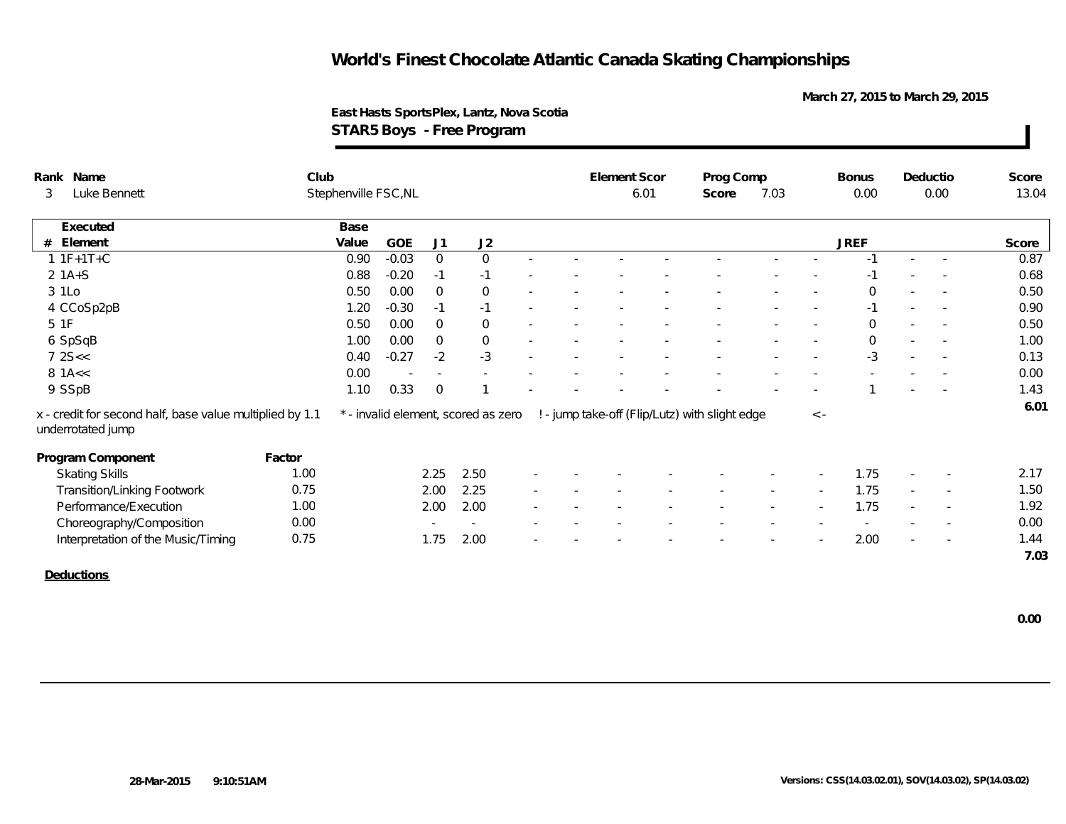**March 27, 2015 to March 29, 2015**

**East Hasts SportsPlex, Lantz, Nova Scotia STAR5 Boys - Free Program**

| Rank Name                                                                     | Club   |                      |            |                |                                     |        | Element Scor |      | Prog Comp                                      |      |             | <b>Bonus</b> | Deductio |                          | Score |
|-------------------------------------------------------------------------------|--------|----------------------|------------|----------------|-------------------------------------|--------|--------------|------|------------------------------------------------|------|-------------|--------------|----------|--------------------------|-------|
| Luke Bennett<br>3                                                             |        | Stephenville FSC, NL |            |                |                                     |        |              | 6.01 | Score                                          | 7.03 |             | 0.00         |          | 0.00                     | 13.04 |
| Executed                                                                      |        | Base                 |            |                |                                     |        |              |      |                                                |      |             |              |          |                          |       |
| # Element                                                                     |        | Value                | <b>GOE</b> | J1             | J2                                  |        |              |      |                                                |      |             | <b>JREF</b>  |          |                          | Score |
| $1 1F+1T+C$                                                                   |        | 0.90                 | $-0.03$    | $\overline{0}$ | $\overline{0}$                      |        |              |      |                                                |      |             | $-1$         |          |                          | 0.87  |
| $2 1A+S$                                                                      |        | 0.88                 | $-0.20$    | $-1$           | $-1$                                |        |              |      |                                                |      |             |              |          |                          | 0.68  |
| 3 1Lo                                                                         |        | 0.50                 | 0.00       | $\Omega$       | $\overline{0}$                      |        |              |      |                                                |      | $\sim$      | $\Omega$     | $\sim$   | $\overline{\phantom{a}}$ | 0.50  |
| 4 CCoSp2pB                                                                    |        | 1.20                 | $-0.30$    | $-1$           | $-1$                                |        |              |      |                                                |      |             | $-1$         |          | $\overline{\phantom{a}}$ | 0.90  |
| 5 1F                                                                          |        | 0.50                 | 0.00       | $\Omega$       | $\Omega$                            |        |              |      |                                                |      |             | $\Omega$     |          |                          | 0.50  |
| 6 SpSqB                                                                       |        | 1.00                 | 0.00       | $\Omega$       | $\overline{0}$                      |        |              |      |                                                |      |             | $\Omega$     |          |                          | 1.00  |
| 72S <                                                                         |        | 0.40                 | $-0.27$    | $-2$           | $-3$                                |        |              |      |                                                |      |             | $-3$         |          |                          | 0.13  |
| $8$ 1A $<$                                                                    |        | 0.00                 |            | $\sim$         |                                     |        |              |      |                                                |      |             |              |          |                          | 0.00  |
| 9 SSpB                                                                        |        | 1.10                 | 0.33       | $\overline{0}$ |                                     |        |              |      |                                                |      |             |              |          |                          | 1.43  |
| x - credit for second half, base value multiplied by 1.1<br>underrotated jump |        |                      |            |                | * - invalid element, scored as zero |        |              |      | ! - jump take-off (Flip/Lutz) with slight edge |      | $\langle$ - |              |          |                          | 6.01  |
| Program Component                                                             | Factor |                      |            |                |                                     |        |              |      |                                                |      |             |              |          |                          |       |
| <b>Skating Skills</b>                                                         | 1.00   |                      |            | 2.25           | 2.50                                |        |              |      |                                                |      |             | 1.75         |          |                          | 2.17  |
|                                                                               | 0.75   |                      |            | 2.00           | 2.25                                | $\sim$ |              |      |                                                |      | $\sim$      | 1.75         | $\sim$   | $\overline{\phantom{a}}$ | 1.50  |
| <b>Transition/Linking Footwork</b>                                            |        |                      |            |                |                                     |        |              |      |                                                |      |             |              |          |                          |       |
| Performance/Execution                                                         | 1.00   |                      |            | 2.00           | 2.00                                |        |              |      |                                                |      |             | 1.75         |          | $\sim$                   | 1.92  |
| Choreography/Composition                                                      | 0.00   |                      |            |                |                                     |        |              |      |                                                |      |             |              |          |                          | 0.00  |
| Interpretation of the Music/Timing                                            | 0.75   |                      |            | 1.75           | 2.00                                |        |              |      |                                                |      |             | 2.00         |          |                          | 1.44  |

**Deductions**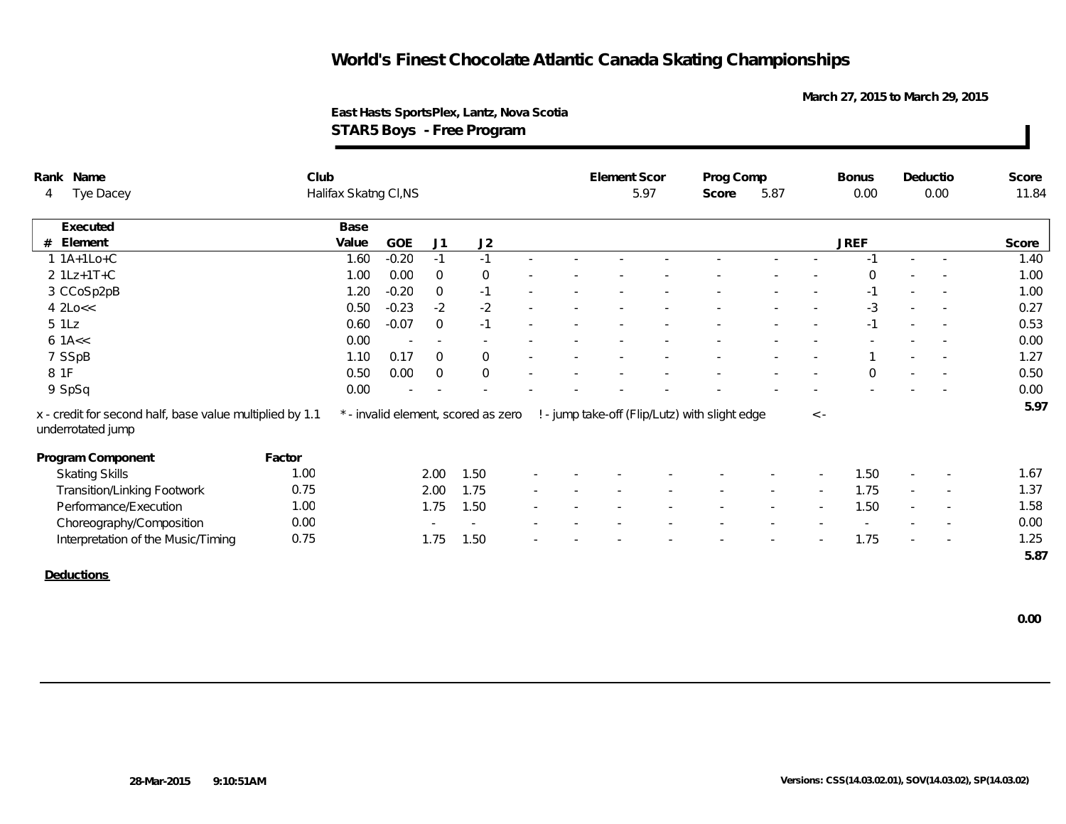**March 27, 2015 to March 29, 2015**

**East Hasts SportsPlex, Lantz, Nova Scotia STAR5 Boys - Free Program**

| Rank Name                                                                     | Club                  |       |                          |                |                                     |  |  | Element Scor |      | Prog Comp                                      |      |           | <b>Bonus</b> |        | Deductio                 | Score |
|-------------------------------------------------------------------------------|-----------------------|-------|--------------------------|----------------|-------------------------------------|--|--|--------------|------|------------------------------------------------|------|-----------|--------------|--------|--------------------------|-------|
| Tye Dacey<br>4                                                                | Halifax Skatng CI, NS |       |                          |                |                                     |  |  |              | 5.97 | Score                                          | 5.87 |           | 0.00         | 0.00   |                          | 11.84 |
| Executed                                                                      |                       | Base  |                          |                |                                     |  |  |              |      |                                                |      |           |              |        |                          |       |
| Element<br>#                                                                  |                       | Value | GOE                      | J <sub>1</sub> | J2                                  |  |  |              |      |                                                |      |           | <b>JREF</b>  |        |                          | Score |
| $1 1A+1Lo+C$                                                                  |                       | 1.60  | $-0.20$                  | $-1$           | $-1$                                |  |  |              |      |                                                |      |           | $-1$         | $\sim$ | $\sim$                   | 1.40  |
| $2 1Lz+1T+C$                                                                  |                       | 1.00  | 0.00                     | $\overline{0}$ | $\overline{0}$                      |  |  |              |      |                                                |      |           | $\Omega$     |        |                          | 1.00  |
| 3 CCoSp2pB                                                                    |                       | 1.20  | $-0.20$                  | $\mathbf{0}$   | $-1$                                |  |  |              |      |                                                |      |           | $-1$         |        | $\sim$                   | 1.00  |
| 42Loc<                                                                        |                       | 0.50  | $-0.23$                  | $-2$           | $-2$                                |  |  |              |      |                                                |      |           | $-3$         |        | $\sim$                   | 0.27  |
| 5 1 Lz                                                                        |                       | 0.60  | $-0.07$                  | $\overline{0}$ | $-1$                                |  |  |              |      |                                                |      | $\sim$    | $-1$         | $\sim$ | $\sim$ $-$               | 0.53  |
| $6$ 1A $<<$                                                                   |                       | 0.00  | $\overline{\phantom{a}}$ |                |                                     |  |  |              |      |                                                |      |           |              |        |                          | 0.00  |
| 7 SSpB                                                                        |                       | 1.10  | 0.17                     | $\overline{0}$ | $\overline{0}$                      |  |  |              |      |                                                |      |           |              |        |                          | 1.27  |
| 8 1F                                                                          |                       | 0.50  | 0.00                     | $\overline{0}$ | $\overline{0}$                      |  |  |              |      |                                                |      |           | $\Omega$     |        |                          | 0.50  |
| 9 SpSq                                                                        |                       | 0.00  |                          |                |                                     |  |  |              |      |                                                |      |           |              |        |                          | 0.00  |
| x - credit for second half, base value multiplied by 1.1<br>underrotated jump |                       |       |                          |                | * - invalid element, scored as zero |  |  |              |      | ! - jump take-off (Flip/Lutz) with slight edge |      | $\,<\,$ - |              |        |                          | 5.97  |
| Program Component                                                             | Factor                |       |                          |                |                                     |  |  |              |      |                                                |      |           |              |        |                          |       |
| <b>Skating Skills</b>                                                         | 1.00                  |       |                          | 2.00           | 1.50                                |  |  |              |      |                                                |      |           | 1.50         |        |                          | 1.67  |
| <b>Transition/Linking Footwork</b>                                            | 0.75                  |       |                          | 2.00           | 1.75                                |  |  |              |      |                                                |      | $\sim$    | 1.75         | $\sim$ | $\overline{\phantom{a}}$ | 1.37  |
| Performance/Execution                                                         | 1.00                  |       |                          | 1.75           | 1.50                                |  |  |              |      |                                                |      |           | 1.50         |        | $\overline{\phantom{a}}$ | 1.58  |
| Choreography/Composition                                                      | 0.00                  |       |                          |                |                                     |  |  |              |      |                                                |      |           |              |        |                          | 0.00  |
| Interpretation of the Music/Timing                                            | 0.75                  |       |                          | 1.75           | 1.50                                |  |  |              |      |                                                |      |           | 1.75         |        | $\sim$                   | 1.25  |
|                                                                               |                       |       |                          |                |                                     |  |  |              |      |                                                |      |           |              |        |                          | 5.87  |
| $\sim$ $\sim$ $\sim$ $\sim$                                                   |                       |       |                          |                |                                     |  |  |              |      |                                                |      |           |              |        |                          |       |

**Deductions**